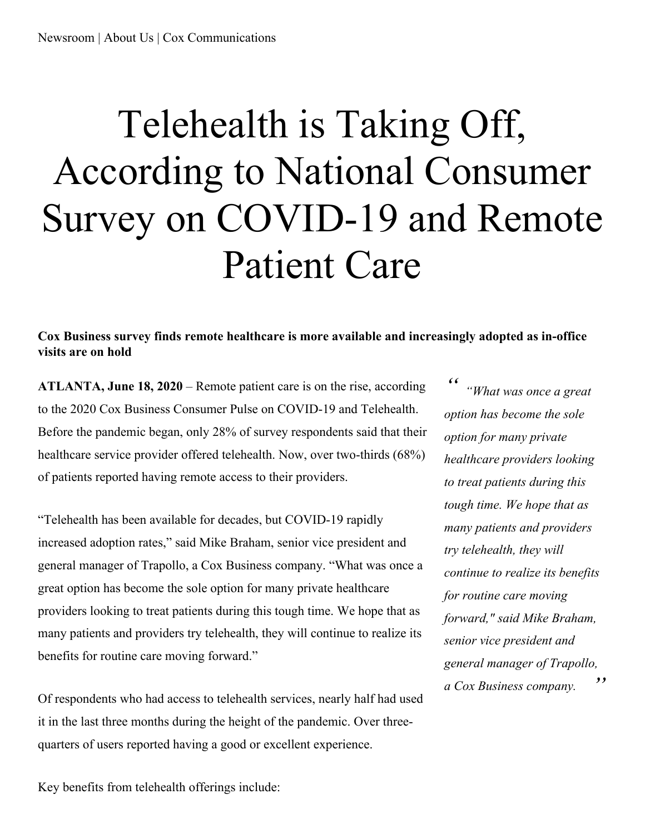## Telehealth is Taking Off, According to National Consumer Survey on COVID-19 and Remote Patient Care

**Cox Business survey finds remote healthcare is more available and increasingly adopted as in-office visits are on hold**

**ATLANTA, June 18, 2020** – Remote patient care is on the rise, according to the 2020 Cox Business Consumer Pulse on COVID-19 and Telehealth. Before the pandemic began, only 28% of survey respondents said that their healthcare service provider offered telehealth. Now, over two-thirds (68%) of patients reported having remote access to their providers.

"Telehealth has been available for decades, but COVID-19 rapidly increased adoption rates," said Mike Braham, senior vice president and general manager of Trapollo, a Cox Business company. "What was once a great option has become the sole option for many private healthcare providers looking to treat patients during this tough time. We hope that as many patients and providers try telehealth, they will continue to realize its benefits for routine care moving forward."

Of respondents who had access to telehealth services, nearly half had used it in the last three months during the height of the pandemic. Over threequarters of users reported having a good or excellent experience.

*" " "What was once <sup>a</sup> great option has become the sole option for many private healthcare providers looking to treat patients during this tough time. We hope that as many patients and providers try telehealth, they will continue to realize its benefits for routine care moving forward," said Mike Braham, senior vice president and general manager of Trapollo, a Cox Business company.*

Key benefits from telehealth offerings include: